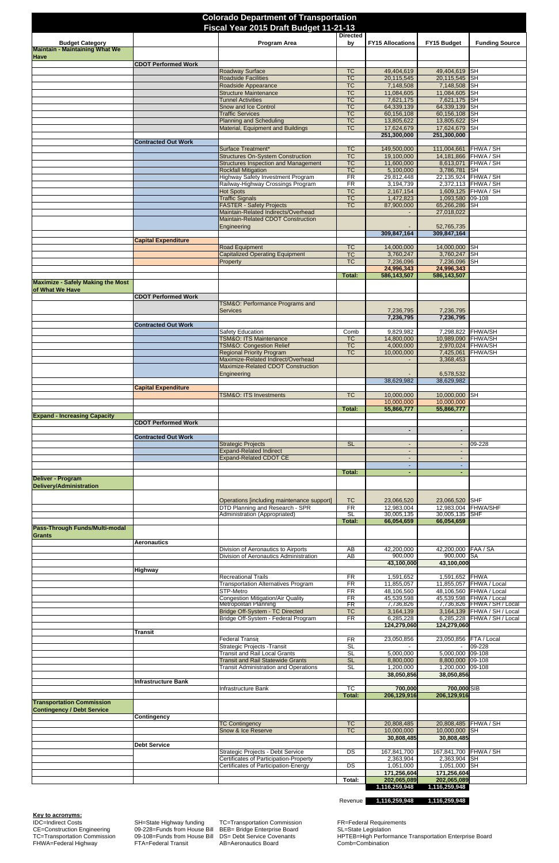IDC=Indirect Costs SH=State Highway funding TC=Transportation Commission FR=Federal Requirements CE=Construction Engineering 09-228=Funds from House Bill BEB= Bridge Enterprise Board SL=State Legislation FR=Federal Requirements<br>
IDC=Indirect Costs<br>
CE=Construction Engineering 09-228=Funds from House Bill BEB= Bridge Enterprise Board SL=State Legislation<br>
TC=Transportation Commission 09-108=Funds from House Bill DS= Debt Se

| <b>Colorado Department of Transportation</b><br>Fiscal Year 2015 Draft Budget 11-21-13 |                            |                                                                                         |                                                  |                                  |                                |                                                            |
|----------------------------------------------------------------------------------------|----------------------------|-----------------------------------------------------------------------------------------|--------------------------------------------------|----------------------------------|--------------------------------|------------------------------------------------------------|
| <b>Budget Category</b>                                                                 |                            | Program Area                                                                            | <b>Directed</b><br>by                            | <b>FY15 Allocations</b>          | FY15 Budget                    | <b>Funding Source</b>                                      |
| <b>Maintain - Maintaining What We</b><br><b>Have</b>                                   |                            |                                                                                         |                                                  |                                  |                                |                                                            |
|                                                                                        | <b>CDOT Performed Work</b> | Roadway Surface                                                                         | <b>TC</b>                                        | 49,404,619                       | 49,404,619 SH                  |                                                            |
|                                                                                        |                            | <b>Roadside Facilities</b><br>Roadside Appearance                                       | $\overline{\text{TC}}$<br><b>TC</b>              | 20,115,545<br>7,148,508          | 20,115,545 SH<br>7,148,508 SH  |                                                            |
|                                                                                        |                            | <b>Structure Maintenance</b><br><b>Tunnel Activities</b>                                | TC<br>TC                                         | 11,084,605<br>7,621,175          | 11,084,605 SH<br>7,621,175 SH  |                                                            |
|                                                                                        |                            | <b>Snow and Ice Control</b>                                                             | TC                                               | 64,339,139                       | 64,339,139                     | <b>SH</b>                                                  |
|                                                                                        |                            | <b>Traffic Services</b><br><b>Planning and Scheduling</b>                               | $\overline{\text{TC}}$<br>$\overline{\text{TC}}$ | 60,156,108<br>13,805,622         | 60,156,108 SH<br>13,805,622 SH |                                                            |
|                                                                                        |                            | Material, Equipment and Buildings                                                       | $\overline{\text{TC}}$                           | 17,624,679<br>251,300,000        | 17,624,679<br>251,300,000      | <b>SH</b>                                                  |
|                                                                                        | <b>Contracted Out Work</b> | Surface Treatment*                                                                      | <b>TC</b>                                        | 149,500,000                      | 111,004,661 FHWA / SH          |                                                            |
|                                                                                        |                            | <b>Structures On-System Construction</b><br><b>Structures Inspection and Management</b> | $\overline{\text{TC}}$<br>$\overline{\text{TC}}$ | 19,100,000<br>11,600,000         | 14,181,866 FHWA / SH           | 8,613,071 FHWA / SH                                        |
|                                                                                        |                            | <b>Rockfall Mitigation</b>                                                              | $\overline{\text{TC}}$                           | 5,100,000                        | 3,786,781                      | <b>SH</b>                                                  |
|                                                                                        |                            | <b>Highway Safety Investment Program</b><br>Railway-Highway Crossings Program           | $\overline{\text{FR}}$<br>FR                     | 29,812,448<br>3,194,739          | 22,135,924 FHWA / SH           | 2,372,113 FHWA / SH                                        |
|                                                                                        |                            | <b>Hot Spots</b><br><b>Traffic Signals</b>                                              | TC<br>$\overline{\text{TC}}$                     | 2,167,154<br>1,472,823           | 1,093,580 09-108               | 1,609,125 FHWA / SH                                        |
|                                                                                        |                            | <b>FASTER - Safety Projects</b><br>Maintain-Related Indirects/Overhead                  | $\overline{\text{TC}}$                           | 87,900,000                       | 65,266,286<br>27,018,022       | <b>SH</b>                                                  |
|                                                                                        |                            | Maintain-Related CDOT Construction                                                      |                                                  |                                  |                                |                                                            |
|                                                                                        |                            | Engineering                                                                             |                                                  | 309,847,164                      | 52,765,735<br>309,847,164      |                                                            |
|                                                                                        | <b>Capital Expenditure</b> | <b>Road Equipment</b>                                                                   | <b>TC</b>                                        | 14,000,000                       | 14,000,000 SH                  |                                                            |
|                                                                                        |                            | <b>Capitalized Operating Equipment</b><br>Property                                      | $\overline{\text{TC}}$<br>$\overline{\text{TC}}$ | 3,760,247<br>7,236,096           | 3,760,247 SH<br>7,236,096      | <b>SH</b>                                                  |
|                                                                                        |                            |                                                                                         | Total:                                           | 24,996,343<br>586,143,507        | 24,996,343<br>586,143,507      |                                                            |
| <b>Maximize - Safely Making the Most</b>                                               |                            |                                                                                         |                                                  |                                  |                                |                                                            |
| of What We Have                                                                        | <b>CDOT Performed Work</b> |                                                                                         |                                                  |                                  |                                |                                                            |
|                                                                                        |                            | <b>TSM&amp;O: Performance Programs and</b><br><b>Services</b>                           |                                                  | 7,236,795                        | 7,236,795                      |                                                            |
|                                                                                        | <b>Contracted Out Work</b> |                                                                                         |                                                  | 7,236,795                        | 7,236,795                      |                                                            |
|                                                                                        |                            | <b>Safety Education</b>                                                                 | Comb                                             | 9,829,982                        |                                | 7,298,822 FHWA/SH                                          |
|                                                                                        |                            | <b>TSM&amp;O: ITS Maintenance</b><br><b>TSM&amp;O: Congestion Relief</b>                | <b>TC</b><br>$\overline{\text{TC}}$              | 14,800,000<br>4,000,000          | 10,989,090 FHWA/SH             | 2,970,024 FHWA/SH                                          |
|                                                                                        |                            | <b>Regional Priority Program</b><br>Maximize-Related Indirect/Overhead                  | $\overline{\text{TC}}$                           | 10,000,000                       | 3,368,453                      | 7,425,061 FHWA/SH                                          |
|                                                                                        |                            | Maximize-Related CDOT Construction<br>Engineering                                       |                                                  |                                  | 6,578,532                      |                                                            |
|                                                                                        | <b>Capital Expenditure</b> |                                                                                         |                                                  | 38,629,982                       | 38,629,982                     |                                                            |
|                                                                                        |                            | <b>TSM&amp;O: ITS Investments</b>                                                       | <b>TC</b>                                        | 10,000,000                       | 10,000,000                     | <b>SH</b>                                                  |
|                                                                                        |                            |                                                                                         | <b>Total:</b>                                    | 10,000,000<br>55,866,777         | 10,000,000<br>55,866,777       |                                                            |
| <b>Expand - Increasing Capacity</b>                                                    | <b>CDOT Performed Work</b> |                                                                                         |                                                  |                                  |                                |                                                            |
|                                                                                        | <b>Contracted Out Work</b> |                                                                                         |                                                  | ٠                                | ٠                              |                                                            |
|                                                                                        |                            | <b>Strategic Projects</b><br><b>Expand-Related Indirect</b>                             | <b>SL</b>                                        | $\blacksquare$<br>$\blacksquare$ |                                | 09-228                                                     |
|                                                                                        |                            | <b>Expand-Related CDOT CE</b>                                                           |                                                  |                                  |                                |                                                            |
|                                                                                        |                            |                                                                                         | Total:                                           | $\blacksquare$                   |                                |                                                            |
| <b>Deliver - Program</b><br><b>Delivery/Administration</b>                             |                            |                                                                                         |                                                  |                                  |                                |                                                            |
|                                                                                        |                            | Operations [including maintenance support]                                              | <b>TC</b>                                        | 23,066,520                       | 23,066,520                     | <b>SHF</b>                                                 |
|                                                                                        |                            | DTD Planning and Research - SPR<br>Administration (Appropriated)                        | <b>FR</b><br>SL                                  | 12,983,004<br>30,005,135         | 12,983,004<br>30,005,135 SHF   | FHWA/SHF                                                   |
|                                                                                        |                            |                                                                                         | <b>Total:</b>                                    | 66,054,659                       | 66,054,659                     |                                                            |
| <b>Pass-Through Funds/Multi-modal</b><br>Grants                                        |                            |                                                                                         |                                                  |                                  |                                |                                                            |
|                                                                                        | Aeronautics                | Division of Aeronautics to Airports                                                     | AB                                               | 42,200,000                       | 42,200,000 FAA / SA            |                                                            |
|                                                                                        |                            | Division of Aeronautics Administration                                                  | AB                                               | 900,000<br>43,100,000            | 900,000 SA<br>43,100,000       |                                                            |
|                                                                                        | <b>Highway</b>             | <b>Recreational Trails</b>                                                              | FR                                               | 1,591,652                        | 1,591,652 FHWA                 |                                                            |
|                                                                                        |                            | <b>Transportation Alternatives Program</b><br>STP-Metro                                 | FR<br>FR                                         | 11,855,057                       |                                | 11,855,057 FHWA / Local                                    |
|                                                                                        |                            | Congestion Mitigation/Air Quality                                                       | FR                                               | 48,106,560<br>45,539,598         |                                | 48,106,560 FHWA / Local<br>45,539,598 FHWA / Local         |
|                                                                                        |                            | Metropolitan Planning<br>Bridge Off-System - TC Directed                                | FR<br><b>TC</b>                                  | 7,736,826<br>3,164,139           |                                | 7,736,826 FHWA / SH / Local<br>3,164,139 FHWA / SH / Local |
|                                                                                        |                            | Bridge Off-System - Federal Program                                                     | FR                                               | 6,285,228<br>124,279,060         | 124,279,060                    | 6,285,228 FHWA / SH / Local                                |
|                                                                                        | Transit                    | <b>Federal Transit</b>                                                                  | <b>FR</b>                                        | 23,050,856                       | 23,050,856 FTA / Local         |                                                            |
|                                                                                        |                            | Strategic Projects - Transit<br><b>Transit and Rail Local Grants</b>                    | SL<br>SL                                         | 5,000,000                        | 5,000,000 09-108               | $-09-228$                                                  |
|                                                                                        |                            | <b>Transit and Rail Statewide Grants</b>                                                | <b>SL</b>                                        | 8,800,000                        | 8,800,000 09-108               |                                                            |
|                                                                                        |                            | <b>Transit Administration and Operations</b>                                            | SL                                               | 1,200,000<br>38,050,856          | 1,200,000 09-108<br>38,050,856 |                                                            |
|                                                                                        | <b>Infrastructure Bank</b> | Infrastructure Bank                                                                     | TC                                               | 700,000                          | 700,000 SIB                    |                                                            |
| <b>Transportation Commission</b>                                                       |                            |                                                                                         | <b>Total:</b>                                    | 206,129,916                      | 206,129,916                    |                                                            |
| <b>Contingency / Debt Service</b>                                                      |                            |                                                                                         |                                                  |                                  |                                |                                                            |
|                                                                                        | <b>Contingency</b>         | <b>TC Contingency</b>                                                                   | <b>TC</b>                                        | 20,808,485                       |                                | 20,808,485 FHWA / SH                                       |
|                                                                                        |                            | Snow & Ice Reserve                                                                      | $\overline{\text{TC}}$                           | 10,000,000<br>30,808,485         | 10,000,000 SH<br>30,808,485    |                                                            |
|                                                                                        | <b>Debt Service</b>        | Strategic Projects - Debt Service                                                       | DS                                               | 167,841,700                      | 167,841,700 FHWA / SH          |                                                            |
|                                                                                        |                            | <b>Certificates of Participation-Property</b><br>Certificates of Participation-Energy   | DS                                               | 2,363,904<br>1,051,000           | 2,363,904 SH<br>1,051,000 SH   |                                                            |
|                                                                                        |                            |                                                                                         |                                                  | 171,256,604                      | 171,256,604                    |                                                            |
|                                                                                        |                            |                                                                                         | Total:                                           | 202,065,089<br>1,116,259,948     | 202,065,089<br>1,116,259,948   |                                                            |

Revenue **1,116,259,948 1,116,259,948** 

**Key to acronyms:**<br>IDC=Indirect Costs

TC=Transportation Commission 09-108=Funds from House Bill DS= Debt Service Covenants HPTEB=High Performance Transportation Enterprise Board